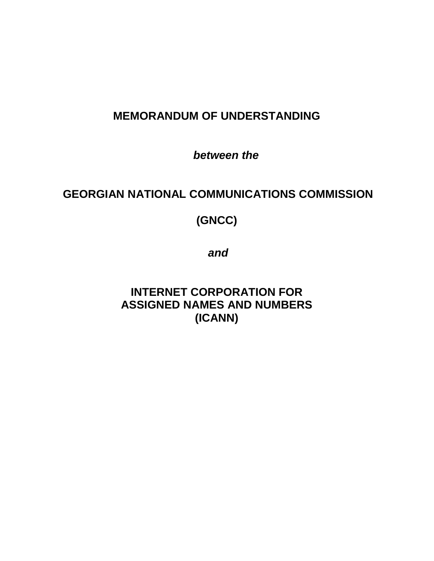# **MEMORANDUM OF UNDERSTANDING**

*between the*

# **GEORGIAN NATIONAL COMMUNICATIONS COMMISSION**

# **(GNCC)**

*and*

**INTERNET CORPORATION FOR ASSIGNED NAMES AND NUMBERS (ICANN)**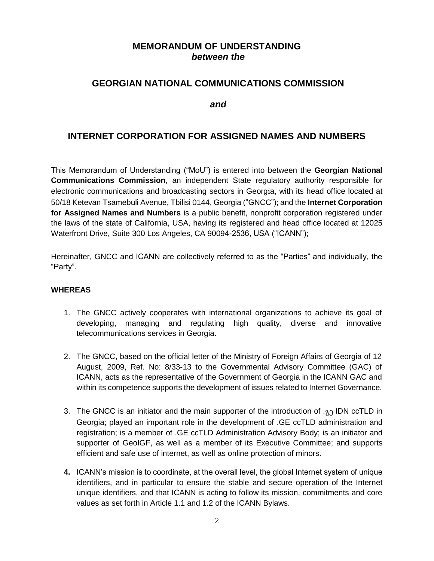## **MEMORANDUM OF UNDERSTANDING** *between the*

#### **GEORGIAN NATIONAL COMMUNICATIONS COMMISSION**

*and*

## **INTERNET CORPORATION FOR ASSIGNED NAMES AND NUMBERS**

This Memorandum of Understanding ("MoU") is entered into between the **Georgian National Communications Commission**, an independent State regulatory authority responsible for electronic communications and broadcasting sectors in Georgia, with its head office located at 50/18 Ketevan Tsamebuli Avenue, Tbilisi 0144, Georgia ("GNCC"); and the **Internet Corporation for Assigned Names and Numbers** is a public benefit, nonprofit corporation registered under the laws of the state of California, USA, having its registered and head office located at 12025 Waterfront Drive, Suite 300 Los Angeles, CA 90094-2536, USA ("ICANN");

Hereinafter, GNCC and ICANN are collectively referred to as the "Parties" and individually, the "Party".

#### **WHEREAS**

- 1. The GNCC actively cooperates with international organizations to achieve its goal of developing, managing and regulating high quality, diverse and innovative telecommunications services in Georgia.
- 2. The GNCC, based on the official letter of the Ministry of Foreign Affairs of Georgia of 12 August, 2009, Ref. No: 8/33-13 to the Governmental Advisory Committee (GAC) of ICANN, acts as the representative of the Government of Georgia in the ICANN GAC and within its competence supports the development of issues related to Internet Governance.
- 3. The GNCC is an initiator and the main supporter of the introduction of  $\mathcal{A}_{\Omega}$  IDN ccTLD in Georgia; played an important role in the development of .GE ccTLD administration and registration; is a member of .GE ccTLD Administration Advisory Body; is an initiator and supporter of GeoIGF, as well as a member of its Executive Committee; and supports efficient and safe use of internet, as well as online protection of minors.
- **4.** ICANN's mission is to coordinate, at the overall level, the global Internet system of unique identifiers, and in particular to ensure the stable and secure operation of the Internet unique identifiers, and that ICANN is acting to follow its mission, commitments and core values as set forth in Article 1.1 and 1.2 of the ICANN Bylaws.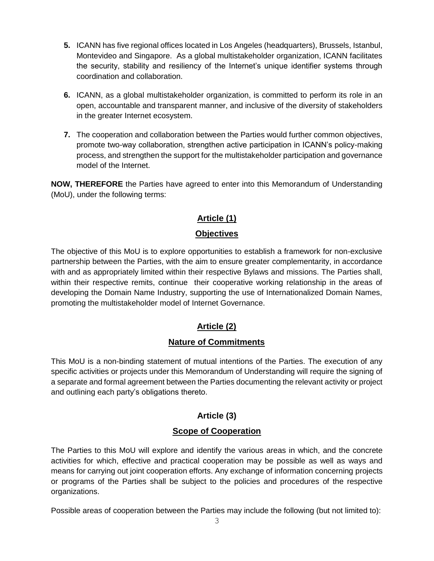- **5.** ICANN has five regional offices located in Los Angeles (headquarters), Brussels, Istanbul, Montevideo and Singapore. As a global multistakeholder organization, ICANN facilitates the security, stability and resiliency of the Internet's unique identifier systems through coordination and collaboration.
- **6.** ICANN, as a global multistakeholder organization, is committed to perform its role in an open, accountable and transparent manner, and inclusive of the diversity of stakeholders in the greater Internet ecosystem.
- **7.** The cooperation and collaboration between the Parties would further common objectives, promote two-way collaboration, strengthen active participation in ICANN's policy-making process, and strengthen the support for the multistakeholder participation and governance model of the Internet.

**NOW, THEREFORE** the Parties have agreed to enter into this Memorandum of Understanding (MoU), under the following terms:

# **Article (1)**

## **Objectives**

The objective of this MoU is to explore opportunities to establish a framework for non-exclusive partnership between the Parties, with the aim to ensure greater complementarity, in accordance with and as appropriately limited within their respective Bylaws and missions. The Parties shall, within their respective remits, continue their cooperative working relationship in the areas of developing the Domain Name Industry, supporting the use of Internationalized Domain Names, promoting the multistakeholder model of Internet Governance.

## **Article (2)**

## **Nature of Commitments**

This MoU is a non-binding statement of mutual intentions of the Parties. The execution of any specific activities or projects under this Memorandum of Understanding will require the signing of a separate and formal agreement between the Parties documenting the relevant activity or project and outlining each party's obligations thereto.

## **Article (3)**

## **Scope of Cooperation**

The Parties to this MoU will explore and identify the various areas in which, and the concrete activities for which, effective and practical cooperation may be possible as well as ways and means for carrying out joint cooperation efforts. Any exchange of information concerning projects or programs of the Parties shall be subject to the policies and procedures of the respective organizations.

Possible areas of cooperation between the Parties may include the following (but not limited to):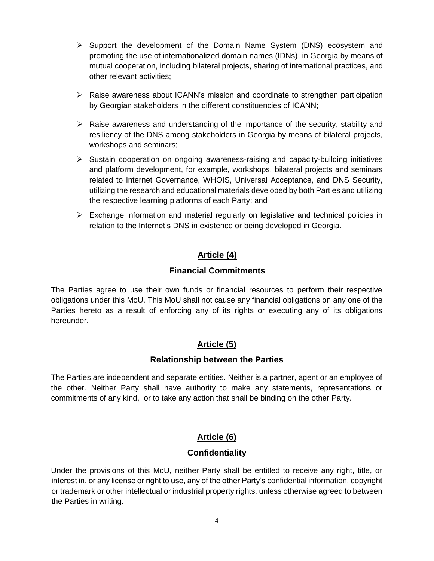- ➢ Support the development of the Domain Name System (DNS) ecosystem and promoting the use of internationalized domain names (IDNs) in Georgia by means of mutual cooperation, including bilateral projects, sharing of international practices, and other relevant activities;
- $\triangleright$  Raise awareness about ICANN's mission and coordinate to strengthen participation by Georgian stakeholders in the different constituencies of ICANN;
- ➢ Raise awareness and understanding of the importance of the security, stability and resiliency of the DNS among stakeholders in Georgia by means of bilateral projects, workshops and seminars;
- ➢ Sustain cooperation on ongoing awareness-raising and capacity-building initiatives and platform development, for example, workshops, bilateral projects and seminars related to Internet Governance, WHOIS, Universal Acceptance, and DNS Security, utilizing the research and educational materials developed by both Parties and utilizing the respective learning platforms of each Party; and
- $\triangleright$  Exchange information and material regularly on legislative and technical policies in relation to the Internet's DNS in existence or being developed in Georgia.

## **Article (4)**

#### **Financial Commitments**

The Parties agree to use their own funds or financial resources to perform their respective obligations under this MoU. This MoU shall not cause any financial obligations on any one of the Parties hereto as a result of enforcing any of its rights or executing any of its obligations hereunder.

## **Article (5)**

#### **Relationship between the Parties**

The Parties are independent and separate entities. Neither is a partner, agent or an employee of the other. Neither Party shall have authority to make any statements, representations or commitments of any kind, or to take any action that shall be binding on the other Party.

## **Article (6)**

#### **Confidentiality**

Under the provisions of this MoU, neither Party shall be entitled to receive any right, title, or interest in, or any license or right to use, any of the other Party's confidential information, copyright or trademark or other intellectual or industrial property rights, unless otherwise agreed to between the Parties in writing.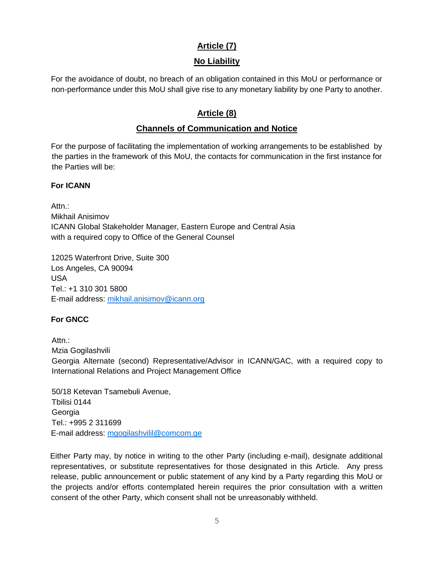## **Article (7)**

## **No Liability**

For the avoidance of doubt, no breach of an obligation contained in this MoU or performance or non-performance under this MoU shall give rise to any monetary liability by one Party to another.

## **Article (8)**

## **Channels of Communication and Notice**

For the purpose of facilitating the implementation of working arrangements to be established by the parties in the framework of this MoU, the contacts for communication in the first instance for the Parties will be:

#### **For ICANN**

Attn.: Mikhail Anisimov ICANN Global Stakeholder Manager, Eastern Europe and Central Asia with a required copy to Office of the General Counsel

12025 Waterfront Drive, Suite 300 Los Angeles, CA 90094 USA Tel.: +1 310 301 5800 E-mail address: mikhail.anisimov@icann.org

## **For GNCC**

Attn.: Mzia Gogilashvili Georgia Alternate (second) Representative/Advisor in ICANN/GAC, with a required copy to International Relations and Project Management Office

50/18 Ketevan Tsamebuli Avenue, Tbilisi 0144 Georgia Tel.: +995 2 311699 E-mail address: mgogilashvilil@comcom.ge

Either Party may, by notice in writing to the other Party (including e-mail), designate additional representatives, or substitute representatives for those designated in this Article. Any press release, public announcement or public statement of any kind by a Party regarding this MoU or the projects and/or efforts contemplated herein requires the prior consultation with a written consent of the other Party, which consent shall not be unreasonably withheld.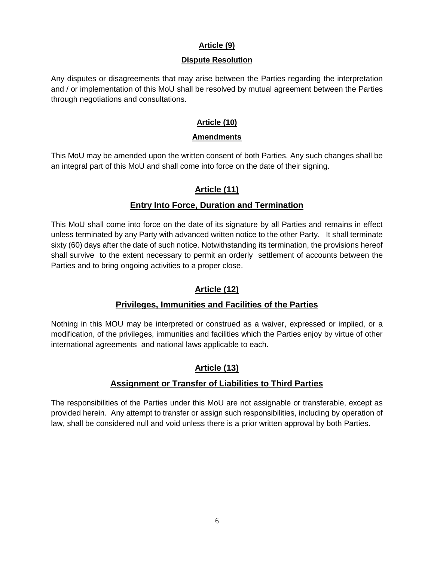#### **Article (9)**

#### **Dispute Resolution**

Any disputes or disagreements that may arise between the Parties regarding the interpretation and / or implementation of this MoU shall be resolved by mutual agreement between the Parties through negotiations and consultations.

#### **Article (10)**

#### **Amendments**

This MoU may be amended upon the written consent of both Parties. Any such changes shall be an integral part of this MoU and shall come into force on the date of their signing.

## **Article (11)**

#### **Entry Into Force, Duration and Termination**

This MoU shall come into force on the date of its signature by all Parties and remains in effect unless terminated by any Party with advanced written notice to the other Party. It shall terminate sixty (60) days after the date of such notice. Notwithstanding its termination, the provisions hereof shall survive to the extent necessary to permit an orderly settlement of accounts between the Parties and to bring ongoing activities to a proper close.

## **Article (12)**

#### **Privileges, Immunities and Facilities of the Parties**

Nothing in this MOU may be interpreted or construed as a waiver, expressed or implied, or a modification, of the privileges, immunities and facilities which the Parties enjoy by virtue of other international agreements and national laws applicable to each.

## **Article (13)**

## **Assignment or Transfer of Liabilities to Third Parties**

The responsibilities of the Parties under this MoU are not assignable or transferable, except as provided herein. Any attempt to transfer or assign such responsibilities, including by operation of law, shall be considered null and void unless there is a prior written approval by both Parties.